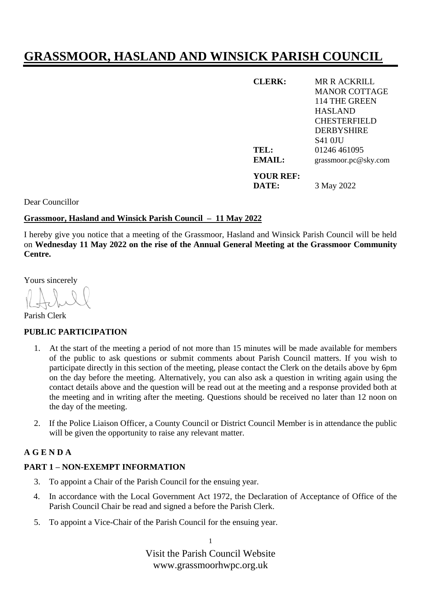# **GRASSMOOR, HASLAND AND WINSICK PARISH COUNCIL**

| <b>CLERK:</b> | MR R ACKRILL         |
|---------------|----------------------|
|               | <b>MANOR COTTAGE</b> |
|               | 114 THE GREEN        |
|               | <b>HASLAND</b>       |
|               | <b>CHESTERFIELD</b>  |
|               | <b>DERBYSHIRE</b>    |
|               | S41 OJU              |
| TEL:          | 01246 461095         |
| <b>EMAIL:</b> | grassmoor.pc@sky.com |
| YOUR REF:     |                      |
| DATE:         | 3 May 2022           |

Dear Councillor

#### **Grassmoor, Hasland and Winsick Parish Council – 11 May 2022**

I hereby give you notice that a meeting of the Grassmoor, Hasland and Winsick Parish Council will be held on **Wednesday 11 May 2022 on the rise of the Annual General Meeting at the Grassmoor Community Centre.**

Yours sincerely

Parish Clerk

#### **PUBLIC PARTICIPATION**

- 1. At the start of the meeting a period of not more than 15 minutes will be made available for members of the public to ask questions or submit comments about Parish Council matters. If you wish to participate directly in this section of the meeting, please contact the Clerk on the details above by 6pm on the day before the meeting. Alternatively, you can also ask a question in writing again using the contact details above and the question will be read out at the meeting and a response provided both at the meeting and in writing after the meeting. Questions should be received no later than 12 noon on the day of the meeting.
- 2. If the Police Liaison Officer, a County Council or District Council Member is in attendance the public will be given the opportunity to raise any relevant matter.

### **A G E N D A**

## **PART 1 – NON-EXEMPT INFORMATION**

- 3. To appoint a Chair of the Parish Council for the ensuing year.
- 4. In accordance with the Local Government Act 1972, the Declaration of Acceptance of Office of the Parish Council Chair be read and signed a before the Parish Clerk.
- 5. To appoint a Vice-Chair of the Parish Council for the ensuing year.

1

Visit the Parish Council Website www.grassmoorhwpc.org.uk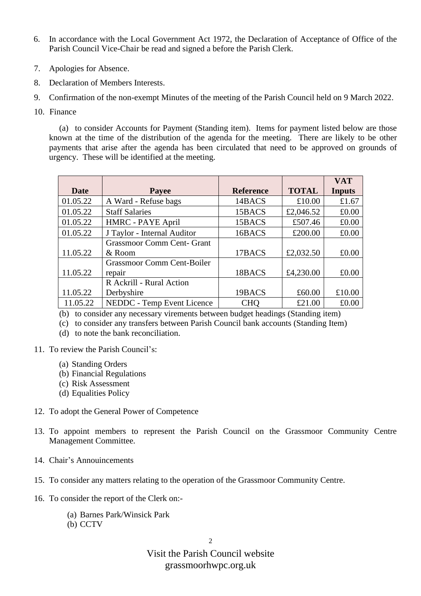- 6. In accordance with the Local Government Act 1972, the Declaration of Acceptance of Office of the Parish Council Vice-Chair be read and signed a before the Parish Clerk.
- 7. Apologies for Absence.
- 8. Declaration of Members Interests.
- 9. Confirmation of the non-exempt Minutes of the meeting of the Parish Council held on 9 March 2022.
- 10. Finance

(a) to consider Accounts for Payment (Standing item). Items for payment listed below are those known at the time of the distribution of the agenda for the meeting. There are likely to be other payments that arise after the agenda has been circulated that need to be approved on grounds of urgency. These will be identified at the meeting.

|             |                                   |                  |              | <b>VAT</b>    |
|-------------|-----------------------------------|------------------|--------------|---------------|
| <b>Date</b> | Payee                             | <b>Reference</b> | <b>TOTAL</b> | <b>Inputs</b> |
| 01.05.22    | A Ward - Refuse bags              | 14BACS           | £10.00       | £1.67         |
| 01.05.22    | <b>Staff Salaries</b>             | 15BACS           | £2,046.52    | £0.00         |
| 01.05.22    | HMRC - PAYE April                 | 15BACS           | £507.46      | £0.00         |
| 01.05.22    | J Taylor - Internal Auditor       | 16BACS           | £200.00      | £0.00         |
|             | <b>Grassmoor Comm Cent- Grant</b> |                  |              |               |
| 11.05.22    | & Room                            | 17BACS           | £2,032.50    | £0.00         |
|             | <b>Grassmoor Comm Cent-Boiler</b> |                  |              |               |
| 11.05.22    | repair                            | 18BACS           | £4,230.00    | £0.00         |
|             | R Ackrill - Rural Action          |                  |              |               |
| 11.05.22    | Derbyshire                        | 19BACS           | £60.00       | £10.00        |
| 11.05.22    | NEDDC - Temp Event Licence        | <b>CHO</b>       | £21.00       | £0.00         |

(b) to consider any necessary virements between budget headings (Standing item)

(c) to consider any transfers between Parish Council bank accounts (Standing Item)

- (d) to note the bank reconciliation.
- 11. To review the Parish Council's:
	- (a) Standing Orders
	- (b) Financial Regulations
	- (c) Risk Assessment
	- (d) Equalities Policy
- 12. To adopt the General Power of Competence
- 13. To appoint members to represent the Parish Council on the Grassmoor Community Centre Management Committee.
- 14. Chair's Annouincements
- 15. To consider any matters relating to the operation of the Grassmoor Community Centre.
- 16. To consider the report of the Clerk on:-
	- (a) Barnes Park/Winsick Park
	- (b) CCTV

 $\overline{2}$